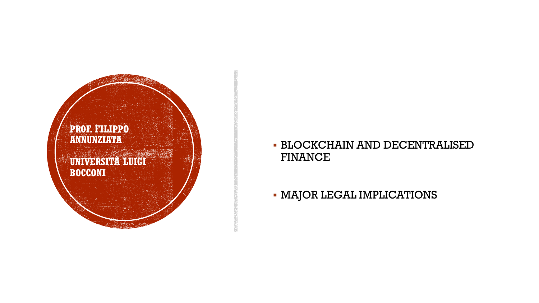

## BLOCKCHAIN AND DECENTRALISED FINANCE

- MAJOR LEGAL IMPLICATIONS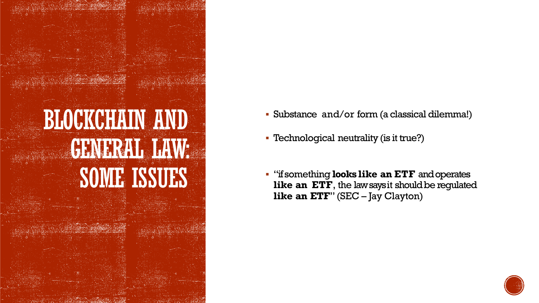

- Substance and/or form (a classical dilemma!)
- Technological neutrality (is it true?)
- "if something **looks like an ETF** and operates like an ETF, the law says it should be regulated **like an ETF**" (SEC – Jay Clayton)

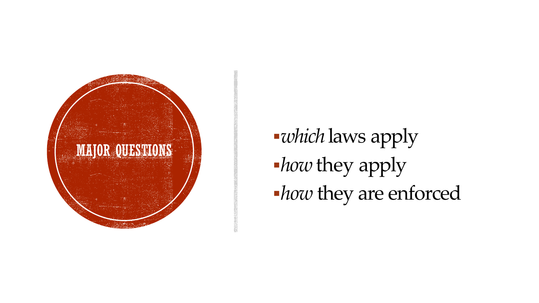

*which* laws apply *how* they apply *how* they are enforced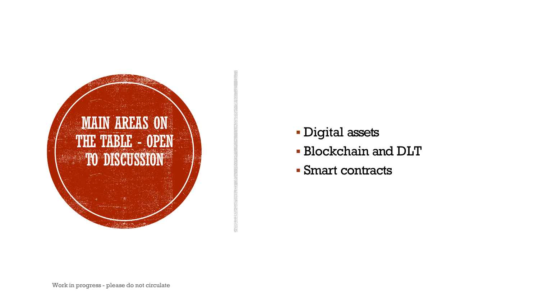

- Digital assets
- Blockchain and DLT
- Smart contracts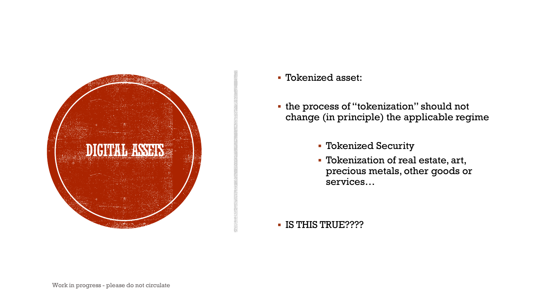

Tokenized asset:

 the process of "tokenization" should not change (in principle) the applicable regime

- Tokenized Security
- Tokenization of real estate, art, precious metals, other goods or services…

IS THIS TRUE????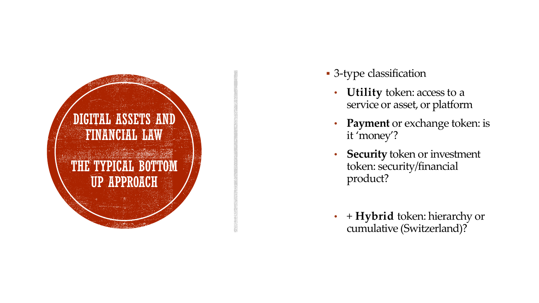

- 3 -type classification
	- **Utility** token: access to a service or asset, or platform
	- **Payment** or exchange token: is it 'money' ?
	- **Security** token or investment token: security/financial product ?
	- + **Hybrid** token: hierarchy or cumulative (Switzerland)?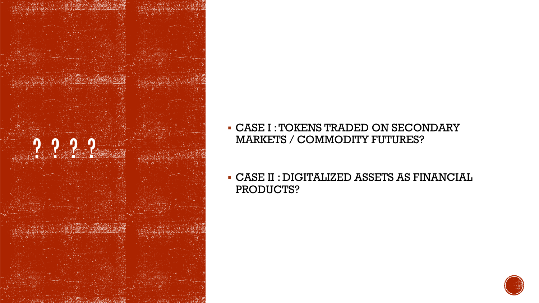

- CASE I : TOKENS TRADED ON SECONDARY MARKETS / COMMODITY FUTURES?
- CASE II : DIGITALIZED ASSETS AS FINANCIAL PRODUCTS?

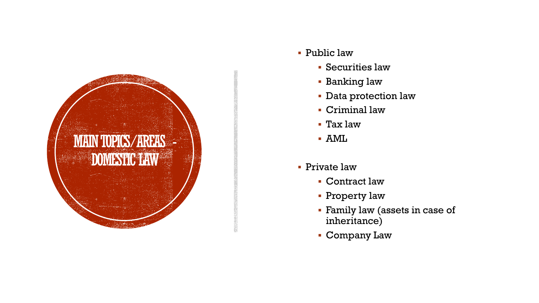

- Public law
	- Securities law
	- Banking law
	- Data protection law
	- Criminal law
	- Tax law
	- AML
- Private law
	- Contract law
	- **Property law**
	- Family law (assets in case of inheritance)
	- Company Law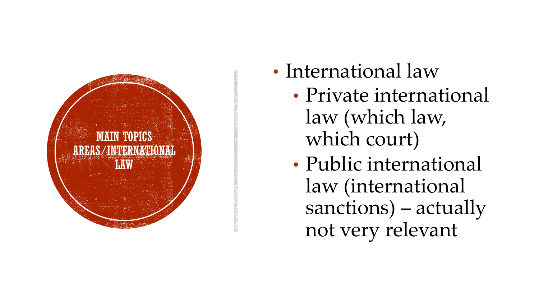

- International law
	- Private international law (which law, which court)
	- Public international law (international sanctions) – actually not very relevant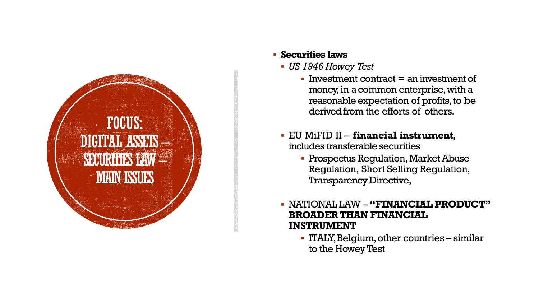

## **Securities laws**

- *US 1946 Howey Test*
	- Investment contract  $=$  an investment of money, in a common enterprise, with a reasonable expectation of profits, to be derived from the efforts of others.
- EU MiFID II **financial instrument**, includes transferable securities
	- **Prospectus Requlation, Market Abuse** Regulation, Short Selling Regulation, Transparency Directive,

 NATIONAL LAW – **"FINANCIAL PRODUCT" BROADER THAN FINANCIAL INSTRUMENT**

 ITALY, Belgium, other countries – similar to the Howey Test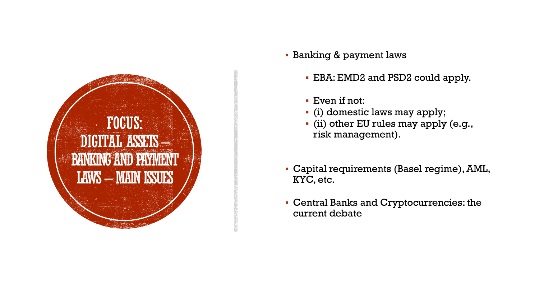

- **Banking & payment laws** 
	- EBA: EMD2 and PSD2 could apply.
	- Even if not:
	- (i) domestic laws may apply;
	- (ii) other EU rules may apply (e.g., risk management).
- Capital requirements (Basel regime), AML, KYC, etc.
- Central Banks and Cryptocurrencies: the current debate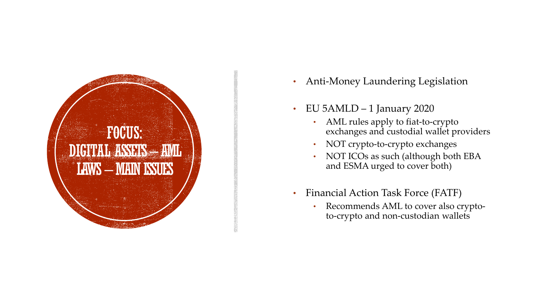

- Anti -Money Laundering Legislation
- EU 5AMLD 1 January 2020
	- AML rules apply to fiat-to-crypto exchanges and custodial wallet providers
	- NOT crypto-to-crypto exchanges
	- NOT ICOs as such (although both EBA and ESMA urged to cover both )
- Financial Action Task Force (FATF)
	- Recommends AML to cover also crypto to -crypto and non -custodian wallets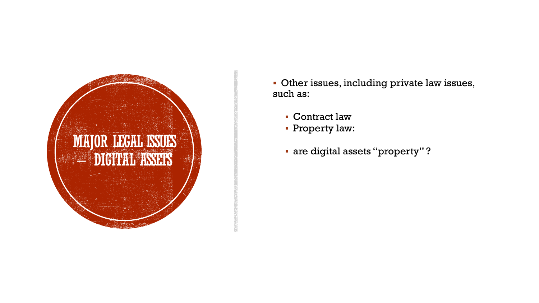

- Other issues, including private law issues, such as:
	- Contract law
	- Property law:
	- are digital assets "property" ?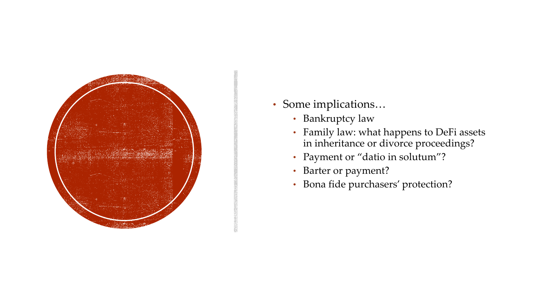

- Some implications…
	- Bankruptcy law
	- Family law: what happens to DeFi assets in inheritance or divorce proceedings?
	- Payment or "datio in solutum"?
	- Barter or payment?
	- Bona fide purchasers' protection?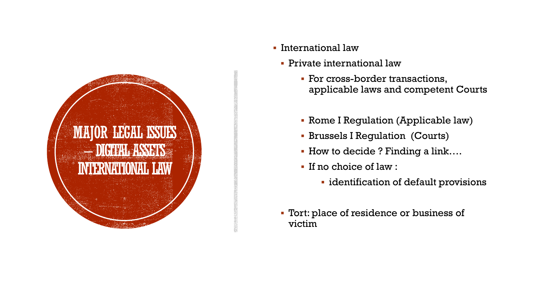

- International law
	- Private international law
		- For cross-border transactions, applicable laws and competent Courts
		- Rome I Regulation (Applicable law)
		- Brussels I Regulation (Courts)
		- How to decide ? Finding a link….
		- If no choice of law :
			- **·** identification of default provisions
	- Tort: place of residence or business of victim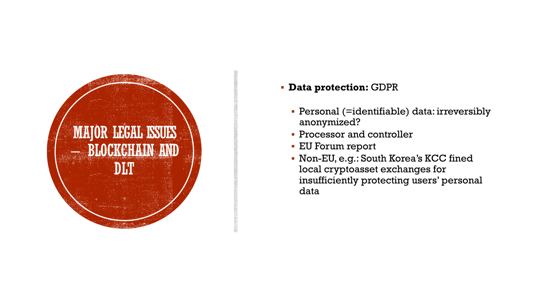

**Data protection:** GDPR

- Personal (=identifiable) data: irreversibly anonymized?
- **Processor and controller**
- EU Forum report
- Non-EU, e.g.: South Korea's KCC fined local cryptoasset exchanges for insufficiently protecting users' personal data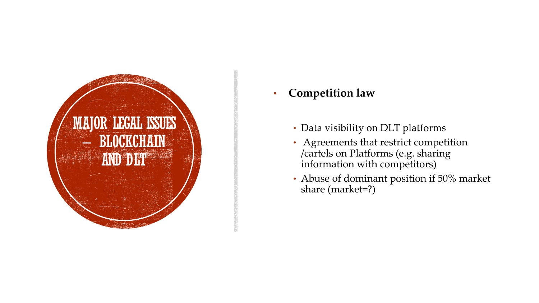

- **Competition law**
	- Data visibility on DLT platforms
	- Agreements that restrict competition /cartels on Platforms (e.g. sharing information with competitors )
	- Abuse of dominant position if 50% market share (market=?)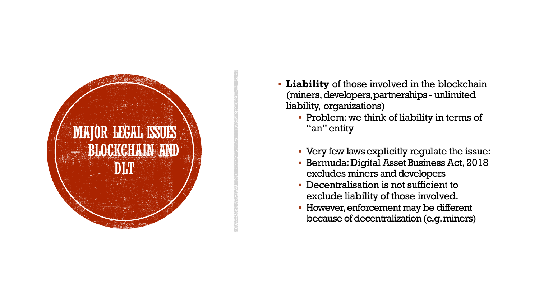

- **Liability** of those involved in the blockchain (miners, developers, partnerships unlimited liability, organizations)
	- **Problem:** we think of liability in terms of "an" entity
	- Very few laws explicitly regulate the issue:
	- **Bermuda: Digital Asset Business Act, 2018** excludes miners and developers
	- Decentralisation is not sufficient to exclude liability of those involved.
	- However, enforcement may be different because of decentralization (e.g. miners)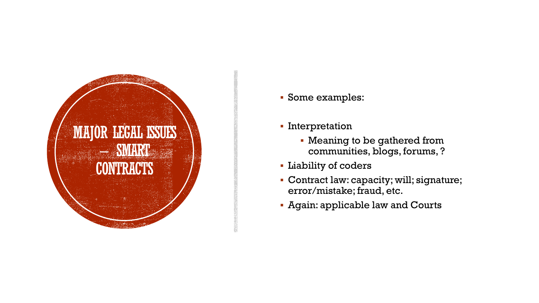

- Some examples:
- **Interpretation** 
	- Meaning to be gathered from communities, blogs, forums, ?
- Liability of coders
- Contract law: capacity; will; signature; error/mistake; fraud, etc.
- Again: applicable law and Courts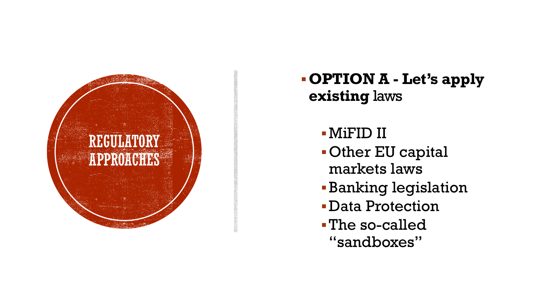

## **OPTION A - Let's apply existing** laws

MiFID II

- Other EU capital markets laws
- Banking legislation
- Data Protection
- The so-called "sandboxes"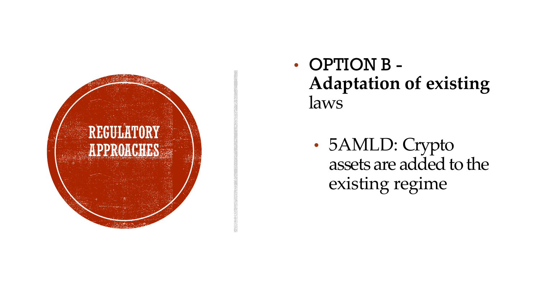

• OPTION B - **Adaptation of existing** laws

• 5AMLD: Crypto assets are added to the existing regime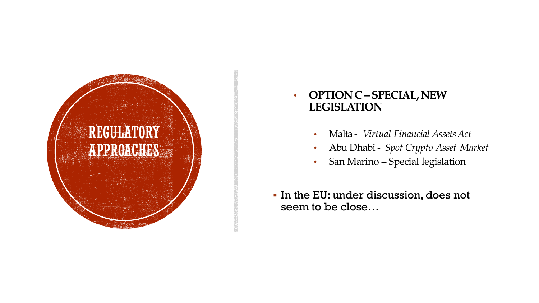

## • **OPTION C –SPECIAL, NEW LEGISLATION**

- Malta *Virtual Financial AssetsAct*
- Abu Dhabi *Spot Crypto Asset Market*
- San Marino Special legislation
- In the EU: under discussion, does not seem to be close…